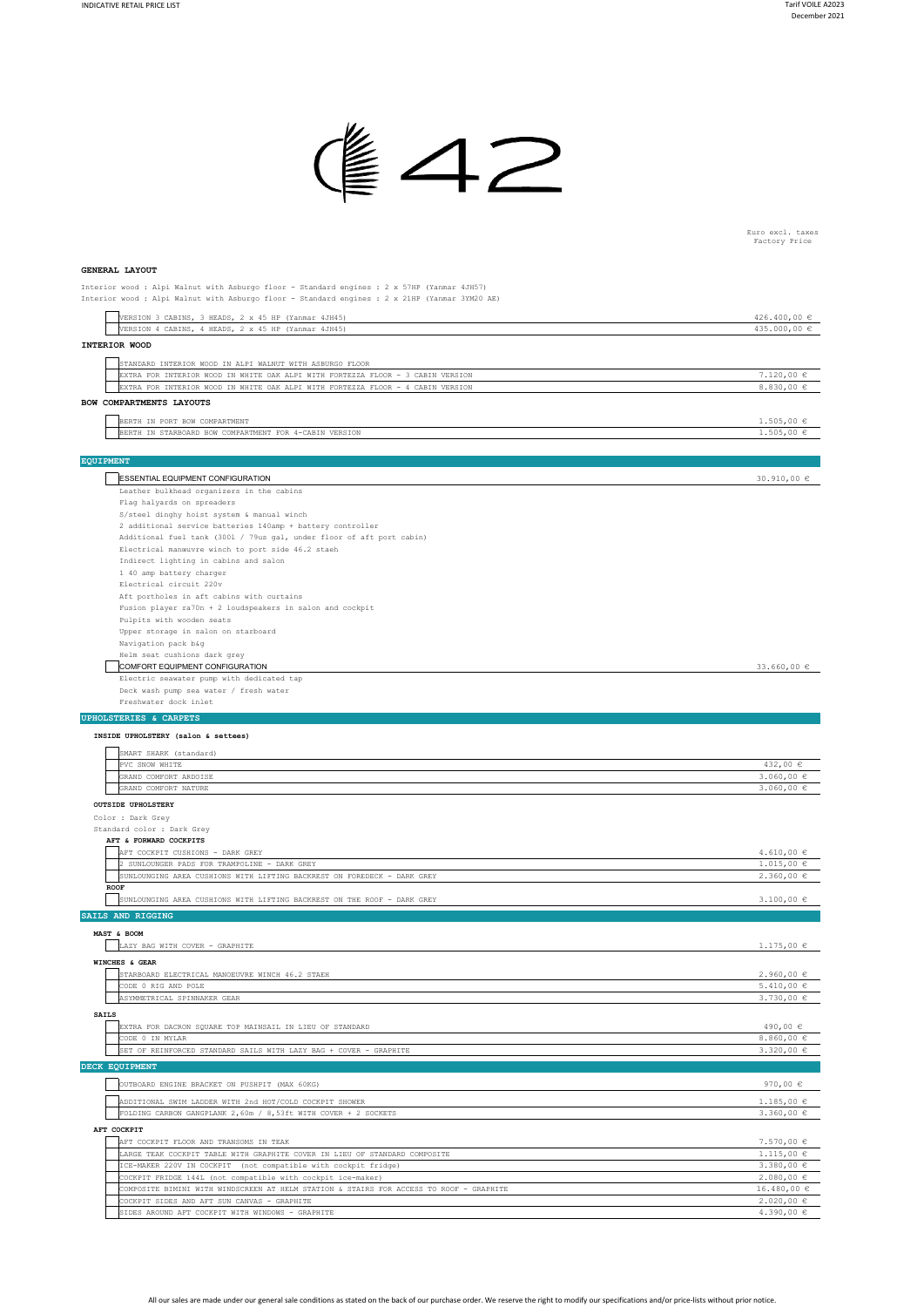

Euro excl. taxes Factory Price

 $0.0 \text{ } \in$ 4.390,00 €

## **GENERAL LAYOUT**

Interior wood : Alpi Walnut with Asburgo floor - Standard engines : 2 x 57HP (Yanmar 4JH57) Interior wood : Alpi Walnut with Asburgo floor - Standard engines : 2 x 21HP (Yanmar 3YM20 AE)

|                  |              | VERSION 3 CABINS, 3 HEADS, 2 x 45 HP (Yanmar 4JH45)                                                                                         | 426.400,00 €                     |
|------------------|--------------|---------------------------------------------------------------------------------------------------------------------------------------------|----------------------------------|
|                  |              | VERSION 4 CABINS, 4 HEADS, 2 x 45 HP (Yanmar 4JH45)                                                                                         | 435.000,00 €                     |
|                  |              | INTERIOR WOOD                                                                                                                               |                                  |
|                  |              |                                                                                                                                             |                                  |
|                  |              | STANDARD INTERIOR WOOD IN ALPI WALNUT WITH ASBURGO FLOOR<br>EXTRA FOR INTERIOR WOOD IN WHITE OAK ALPI WITH FORTEZZA FLOOR - 3 CABIN VERSION | $7.120,00 \in$                   |
|                  |              | EXTRA FOR INTERIOR WOOD IN WHITE OAK ALPI WITH FORTEZZA FLOOR - 4 CABIN VERSION                                                             | 8.830,00 €                       |
|                  |              | BOW COMPARTMENTS LAYOUTS                                                                                                                    |                                  |
|                  |              |                                                                                                                                             |                                  |
|                  |              | BERTH IN PORT BOW COMPARTMENT                                                                                                               | $1.505,00 \in$                   |
|                  |              | BERTH IN STARBOARD BOW COMPARTMENT FOR 4-CABIN VERSION                                                                                      | $1.505,00 \in$                   |
|                  |              |                                                                                                                                             |                                  |
| <b>EQUIPMENT</b> |              |                                                                                                                                             |                                  |
|                  |              | ESSENTIAL EQUIPMENT CONFIGURATION                                                                                                           | 30.910,00 €                      |
|                  |              | Leather bulkhead organizers in the cabins                                                                                                   |                                  |
|                  |              | Flag halyards on spreaders                                                                                                                  |                                  |
|                  |              | S/steel dinghy hoist system & manual winch                                                                                                  |                                  |
|                  |              | 2 additional service batteries 140amp + battery controller                                                                                  |                                  |
|                  |              | Additional fuel tank (3001 / 79us gal, under floor of aft port cabin)                                                                       |                                  |
|                  |              | Electrical manœuvre winch to port side 46.2 staeh                                                                                           |                                  |
|                  |              | Indirect lighting in cabins and salon                                                                                                       |                                  |
|                  |              | 1 40 amp battery charger                                                                                                                    |                                  |
|                  |              | Electrical circuit 220v                                                                                                                     |                                  |
|                  |              | Aft portholes in aft cabins with curtains<br>Fusion player ra70n + 2 loudspeakers in salon and cockpit                                      |                                  |
|                  |              | Pulpits with wooden seats                                                                                                                   |                                  |
|                  |              | Upper storage in salon on starboard                                                                                                         |                                  |
|                  |              | Navigation pack b&g                                                                                                                         |                                  |
|                  |              | Helm seat cushions dark grey                                                                                                                |                                  |
|                  |              | COMFORT EQUIPMENT CONFIGURATION                                                                                                             | 33.660,00 $\in$                  |
|                  |              | Electric seawater pump with dedicated tap                                                                                                   |                                  |
|                  |              | Deck wash pump sea water / fresh water                                                                                                      |                                  |
|                  |              | Freshwater dock inlet                                                                                                                       |                                  |
|                  |              | <b>UPHOLSTERIES &amp; CARPETS</b>                                                                                                           |                                  |
|                  |              | INSIDE UPHOLSTERY (salon & settees)                                                                                                         |                                  |
|                  |              |                                                                                                                                             |                                  |
|                  |              | SMART SHARK (standard)                                                                                                                      |                                  |
|                  |              | PVC SNOW WHITE                                                                                                                              | 432,00 €                         |
|                  |              | GRAND COMFORT ARDOISE<br>GRAND COMFORT NATURE                                                                                               | $3.060,00 \in$<br>$3.060,00 \in$ |
|                  |              |                                                                                                                                             |                                  |
|                  |              | <b>OUTSIDE UPHOLSTERY</b>                                                                                                                   |                                  |
|                  |              | Color : Dark Grey                                                                                                                           |                                  |
|                  |              | Standard color : Dark Grey                                                                                                                  |                                  |
|                  |              | AFT & FORWARD COCKPITS<br>AFT COCKPIT CUSHIONS - DARK GREY                                                                                  | $4.610,00 \in$                   |
|                  |              | 2 SUNLOUNGER PADS FOR TRAMPOLINE - DARK GREY                                                                                                | $1.015,00 \in$                   |
|                  |              | SUNLOUNGING AREA CUSHIONS WITH LIFTING BACKREST ON FOREDECK - DARK GREY                                                                     | 2.360,00 ∈                       |
|                  | ${\tt ROOF}$ |                                                                                                                                             |                                  |
|                  |              | SUNLOUNGING AREA CUSHIONS WITH LIFTING BACKREST ON THE ROOF - DARK GREY                                                                     | $3.100,00 \in$                   |
|                  |              | SAILS AND RIGGING                                                                                                                           |                                  |
|                  |              |                                                                                                                                             |                                  |
|                  |              | MAST & BOOM                                                                                                                                 |                                  |
|                  |              | LAZY BAG WITH COVER - GRAPHITE                                                                                                              | $1.175,00 \in$                   |
|                  |              | WINCHES & GEAR                                                                                                                              |                                  |
|                  |              | STARBOARD ELECTRICAL MANOEUVRE WINCH 46.2 STAEH                                                                                             | $2.960,00 \in$                   |
|                  |              | CODE 0 RIG AND POLE                                                                                                                         | $5.410,00 \in$                   |
|                  |              | ASYMMETRICAL SPINNAKER GEAR                                                                                                                 | 3.730,00 €                       |
|                  | <b>SAILS</b> |                                                                                                                                             |                                  |
|                  |              | EXTRA FOR DACRON SQUARE TOP MAINSAIL IN LIEU OF STANDARD                                                                                    | 490,00 €                         |
|                  |              | CODE 0 IN MYLAR                                                                                                                             | 8.860,00 $\in$                   |
|                  |              | SET OF REINFORCED STANDARD SAILS WITH LAZY BAG + COVER - GRAPHITE                                                                           | 3.320,00 $\in$                   |
|                  |              | DECK EQUIPMENT                                                                                                                              |                                  |
|                  |              | OUTBOARD ENGINE BRACKET ON PUSHPIT (MAX 60KG)                                                                                               | 970,00 $\in$                     |
|                  |              |                                                                                                                                             |                                  |
|                  |              | ADDITIONAL SWIM LADDER WITH 2nd HOT/COLD COCKPIT SHOWER                                                                                     | $1.185,00 \in$                   |
|                  |              | FOLDING CARBON GANGPLANK 2,60m / 8,53ft WITH COVER + 2 SOCKETS                                                                              | 3.360,00 $\in$                   |
|                  |              | AFT COCKPIT                                                                                                                                 |                                  |
|                  |              | AFT COCKPIT FLOOR AND TRANSOMS IN TEAK                                                                                                      | $7.570,00 \in$                   |
|                  |              | LARGE TEAK COCKPIT TABLE WITH GRAPHITE COVER IN LIEU OF STANDARD COMPOSITE                                                                  | $1.115,00 \in$                   |
|                  |              | ICE-MAKER 220V IN COCKPIT (not compatible with cockpit fridge)                                                                              | 3.380,00 €                       |
|                  |              | COCKPIT FRIDGE 144L (not compatible with cockpit ice-maker)                                                                                 | $2.080,00 \in$                   |
|                  |              | COMPOSITE BIMINI WITH WINDSCREEN AT HELM STATION & STAIRS FOR ACCESS TO ROOF - GRAPHITE                                                     | $16.480,00 \in$                  |

All our sales are made under our general sale conditions as stated on the back of our purchase order. We reserve the right to modify our specifications and/or price-lists without prior notice.

COMPOSITE BIMINI WITH WINDSCREEN AT HELM STATION & STAIRS FOR ACCESS TO ROOF - GRAPHITE

KPIT WITH WINDOWS - GRAPHIT

COCKPIT SIDES AND AFT SUN CANVAS - GRAPHITE